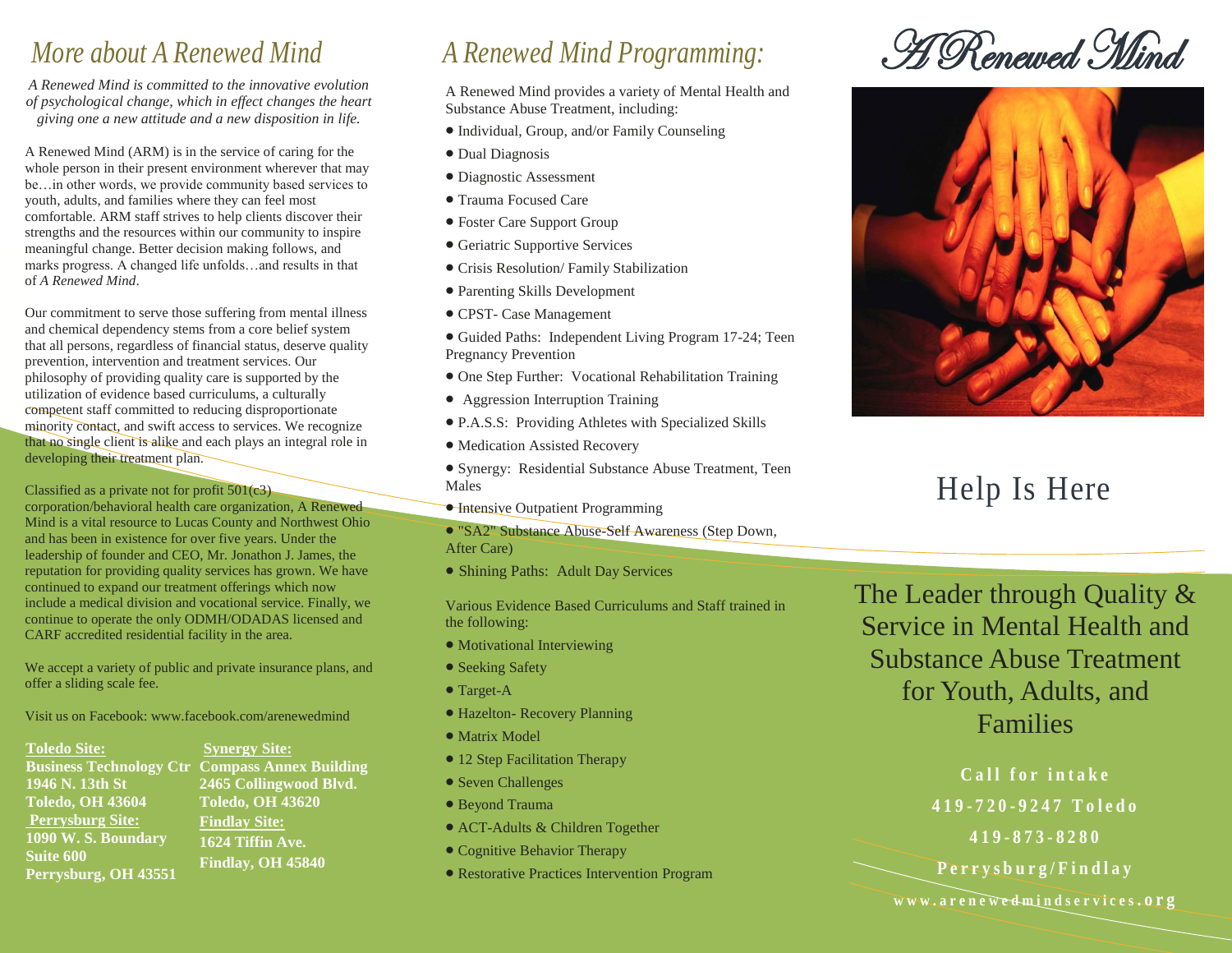## *More about A Renewed Mind*

*A Renewed Mind is committed to the innovative evolution of psychological change, which in effect changes the heart giving one a new attitude and a new disposition in life.*

A Renewed Mind (ARM) is in the service of caring for the whole person in their present environment wherever that may be…in other words, we provide community based services to youth, adults, and families where they can feel most comfortable. ARM staff strives to help clients discover their strengths and the resources within our community to inspire meaningful change. Better decision making follows, and marks progress. A changed life unfolds…and results in that of *A Renewed Mind*.

Our commitment to serve those suffering from mental illness and chemical dependency stems from a core belief system that all persons, regardless of financial status, deserve quality prevention, intervention and treatment services. Our philosophy of providing quality care is supported by the utilization of evidence based curriculums, a culturally competent staff committed to reducing disproportionate minority contact, and swift access to services. We recognize that no single client is alike and each plays an integral role in developing their treatment plan.

Classified as a private not for profit 501(c3) corporation/behavioral health care organization, A Renewed Mind is a vital resource to Lucas County and Northwest Ohio and has been in existence for over five years. Under the leadership of founder and CEO, Mr. Jonathon J. James, the reputation for providing quality services has grown. We have continued to expand our treatment offerings which now include a medical division and vocational service. Finally, we continue to operate the only ODMH/ODADAS licensed and CARF accredited residential facility in the area.

We accept a variety of public and private insurance plans, and offer a sliding scale fee.

Visit us on Facebook: www.facebook.com/arenewedmind

**Toledo Site: Business Technology Ctr Compass Annex Building 1946 N. 13th St Toledo, OH 43604 Perrysburg Site: 1090 W. S. Boundary Suite 600 Perrysburg, OH 43551 Synergy Site: Toledo, OH 43620 Findlay Site: 1624 Tiffin Ave. Findlay, OH 45840**

# *A Renewed Mind Programming:*

A Renewed Mind provides a variety of Mental Health and Substance Abuse Treatment, including:

- Individual, Group, and/or Family Counseling
- Dual Diagnosis
- Diagnostic Assessment
- Trauma Focused Care
- Foster Care Support Group
- Geriatric Supportive Services
- Crisis Resolution/ Family Stabilization
- Parenting Skills Development
- CPST- Case Management
- Guided Paths: Independent Living Program 17-24; Teen Pregnancy Prevention
- One Step Further: Vocational Rehabilitation Training
- Aggression Interruption Training
- P.A.S.S: Providing Athletes with Specialized Skills
- $\bullet$  Medication Assisted Recovery

 Synergy: Residential Substance Abuse Treatment, Teen Males

- **Intensive Outpatient Programming**
- "SA2" Substance Abuse-Self Awareness (Step Down, After Care)
- Shining Paths: Adult Day Services

Various Evidence Based Curriculums and Staff trained in the following:

- Motivational Interviewing
- Seeking Safety
- Target-A
- Hazelton- Recovery Planning
- Matrix Model
- 12 Step Facilitation Therapy
- Seven Challenges
- Beyond Trauma
- ACT-Adults & Children Together
- Cognitive Behavior Therapy
- Restorative Practices Intervention Program

A Renewed Mind



# Help Is Here

The Leader through Quality & Service in Mental Health and Substance Abuse Treatment for Youth, Adults, and Families

> **Call for intake 419 - 7 2 0 - 9 2 4 7 T o l e d o 419 - 8 7 3 - 8 2 8 0**

**P e r r y s b u r g / F i n d l a y**

**w w w . a r e n e w e d m i n d s e r v i c e s . o r g**

**2465 Collingwood Blvd.**